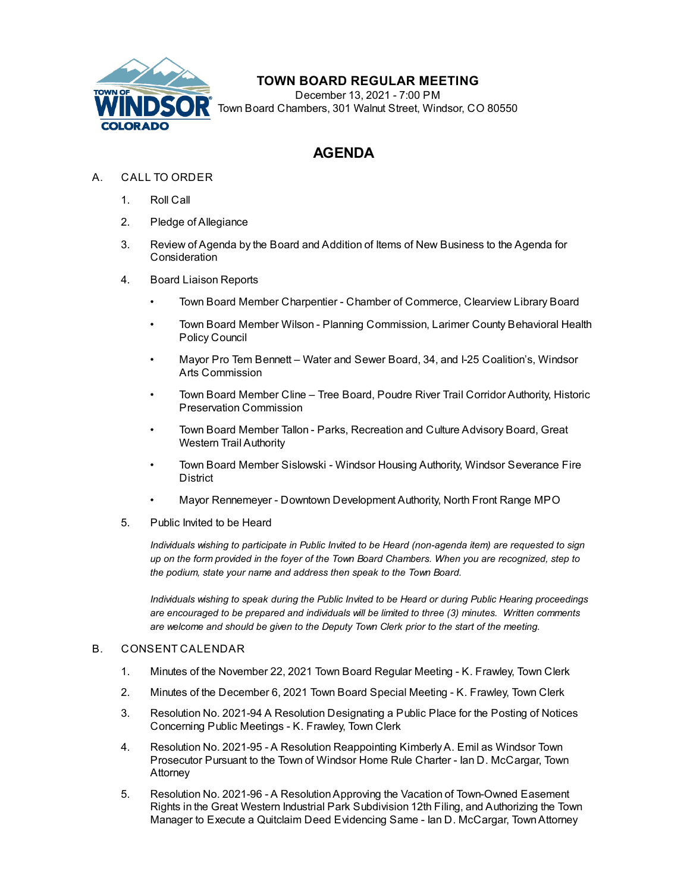

## **TOWN BOARD REGULAR MEETING**

December 13, 2021 - 7:00 PM Town Board Chambers, 301 Walnut Street, Windsor, CO 80550

## **AGENDA**

- A. CALL TO ORDER
	- 1. Roll Call
	- 2. Pledge of Allegiance
	- 3. Review of Agenda by the Board and Addition of Items of New Business to the Agenda for Consideration
	- 4. Board Liaison Reports
		- Town Board Member Charpentier Chamber of Commerce, Clearview Library Board
		- Town Board Member Wilson Planning Commission, Larimer County Behavioral Health Policy Council
		- Mayor Pro Tem Bennett Water and Sewer Board, 34, and I-25 Coalition's, Windsor Arts Commission
		- Town Board Member Cline Tree Board, Poudre River Trail Corridor Authority, Historic Preservation Commission
		- Town Board Member Tallon Parks, Recreation and Culture Advisory Board, Great Western Trail Authority
		- Town Board Member Sislowski Windsor Housing Authority, Windsor Severance Fire District
		- Mayor Rennemeyer Downtown Development Authority, North Front Range MPO
	- 5. Public Invited to be Heard

*Individuals wishing to participate in Public Invited to be Heard (non-agenda item) are requested to sign* up on the form provided in the foyer of the Town Board Chambers. When you are recognized, step to *the podium, state your name and address then speak to the Town Board.*

*Individuals wishing to speak during the Public Invited to be Heard or during Public Hearing proceedings are encouraged to be prepared and individuals will be limited to three (3) minutes. Written comments are welcome and should be given to the Deputy Town Clerk prior to the start of the meeting.*

## B. CONSENT CALENDAR

- 1. Minutes of the [November](file:///C:/Windows/TEMP/CoverSheet.aspx?ItemID=1850&MeetingID=261) 22, 2021 Town Board Regular Meeting K. Frawley, Town Clerk
- 2. Minutes of the [December](file:///C:/Windows/TEMP/CoverSheet.aspx?ItemID=1854&MeetingID=261) 6, 2021 Town Board Special Meeting K. Frawley, Town Clerk
- 3. Resolution No. 2021-94 A Resolution [Designating](file:///C:/Windows/TEMP/CoverSheet.aspx?ItemID=1849&MeetingID=261) a Public Place for the Posting of Notices Concerning Public Meetings - K. Frawley, Town Clerk
- 4. Resolution No. 2021-95 A Resolution [Reappointing](file:///C:/Windows/TEMP/CoverSheet.aspx?ItemID=1779&MeetingID=261) KimberlyA. Emil as Windsor Town Prosecutor Pursuant to the Town of Windsor Home Rule Charter - Ian D. McCargar, Town Attorney
- 5. Resolution No. 2021-96 A [ResolutionApproving](file:///C:/Windows/TEMP/CoverSheet.aspx?ItemID=1835&MeetingID=261) the Vacation of Town-Owned Easement Rights in the Great Western Industrial Park Subdivision 12th Filing, and Authorizing the Town Manager to Execute a Quitclaim Deed Evidencing Same - Ian D. McCargar, TownAttorney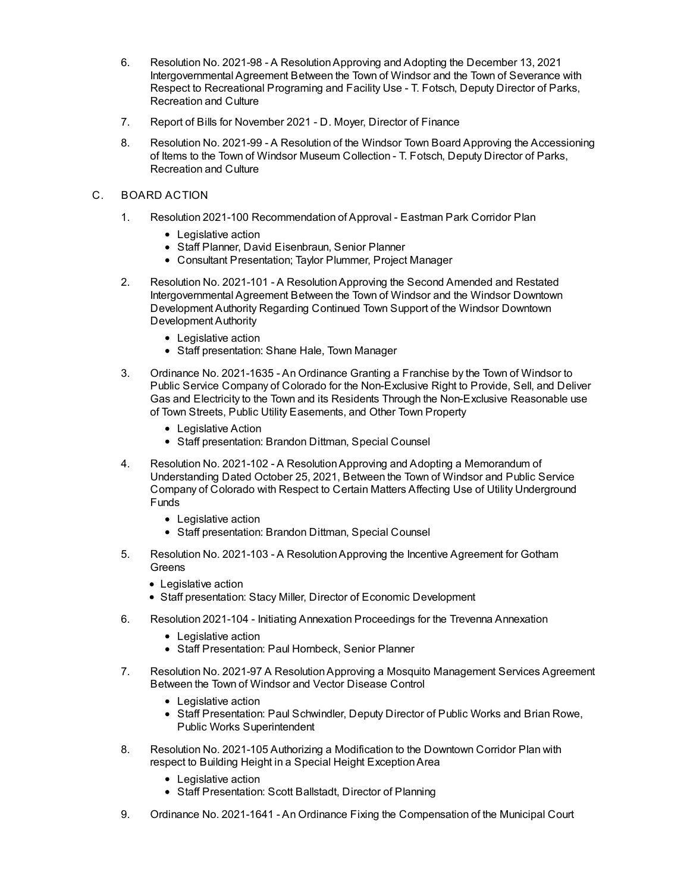- 6. Resolution No. 2021-98 A [ResolutionApproving](file:///C:/Windows/TEMP/CoverSheet.aspx?ItemID=1844&MeetingID=261) and Adopting the December 13, 2021 Intergovernmental Agreement Between the Town of Windsor and the Town of Severance with Respect to Recreational Programing and Facility Use - T. Fotsch, Deputy Director of Parks, Recreation and Culture
- 7. Report of Bills for [November](file:///C:/Windows/TEMP/CoverSheet.aspx?ItemID=1855&MeetingID=261) 2021 D. Moyer, Director of Finance
- 8. Resolution No. 2021-99 A Resolution of the Windsor Town Board Approving the [Accessioning](file:///C:/Windows/TEMP/CoverSheet.aspx?ItemID=1857&MeetingID=261) of Items to the Town of Windsor Museum Collection - T. Fotsch, Deputy Director of Parks, Recreation and Culture
- C. BOARD ACTION
	- 1. Resolution 2021-100 [Recommendation](file:///C:/Windows/TEMP/CoverSheet.aspx?ItemID=1853&MeetingID=261) of Approval Eastman Park Corridor Plan
		- Legislative action
		- Staff Planner, David Eisenbraun, Senior Planner
		- Consultant Presentation; Taylor Plummer, Project Manager
	- 2. Resolution No. 2021-101 A [ResolutionApproving](file:///C:/Windows/TEMP/CoverSheet.aspx?ItemID=1801&MeetingID=261) the Second Amended and Restated Intergovernmental Agreement Between the Town of Windsor and the Windsor Downtown Development Authority Regarding Continued Town Support of the Windsor Downtown Development Authority
		- Legislative action
		- Staff presentation: Shane Hale, Town Manager
	- 3. Ordinance No. 2021-1635 An Ordinance Granting a Franchise by the Town of Windsor to Public Service Company of Colorado for the [Non-Exclusive](file:///C:/Windows/TEMP/CoverSheet.aspx?ItemID=1830&MeetingID=261) Right to Provide, Sell, and Deliver Gas and Electricity to the Town and its Residents Through the Non-Exclusive Reasonable use of Town Streets, Public Utility Easements, and Other Town Property
		- Legislative Action
		- Staff presentation: Brandon Dittman, Special Counsel
	- 4. Resolution No. 2021-102 A [ResolutionApproving](file:///C:/Windows/TEMP/CoverSheet.aspx?ItemID=1807&MeetingID=261) and Adopting a Memorandum of Understanding Dated October 25, 2021, Between the Town of Windsor and Public Service Company of Colorado with Respect to Certain Matters Affecting Use of Utility Underground Funds
		- Legislative action
		- Staff presentation: Brandon Dittman, Special Counsel
	- 5. Resolution No. 2021-103 A [ResolutionApproving](file:///C:/Windows/TEMP/CoverSheet.aspx?ItemID=1508&MeetingID=261) the Incentive Agreement for Gotham **Greens** 
		- Legislative action
		- Staff presentation: Stacy Miller, Director of Economic Development
	- 6. Resolution 2021-104 Initiating Annexation [Proceedings](file:///C:/Windows/TEMP/CoverSheet.aspx?ItemID=1834&MeetingID=261) for the Trevenna Annexation
		- Legislative action
		- Staff Presentation: Paul Hornbeck, Senior Planner
	- 7. Resolution No. 2021-97 A [ResolutionApproving](file:///C:/Windows/TEMP/CoverSheet.aspx?ItemID=1842&MeetingID=261) a Mosquito Management Services Agreement Between the Town of Windsor and Vector Disease Control
		- Legislative action
		- Staff Presentation: Paul Schwindler, Deputy Director of Public Works and Brian Rowe, Public Works Superintendent
	- 8. Resolution No. 2021-105 Authorizing a Modification to the Downtown Corridor Plan with respect to Building Height in a Special Height [ExceptionArea](file:///C:/Windows/TEMP/CoverSheet.aspx?ItemID=1838&MeetingID=261)
		- Legislative action
		- Staff Presentation: Scott Ballstadt, Director of Planning
	- 9. Ordinance No. 2021-1641 An Ordinance Fixing the Compensation of the Municipal Court